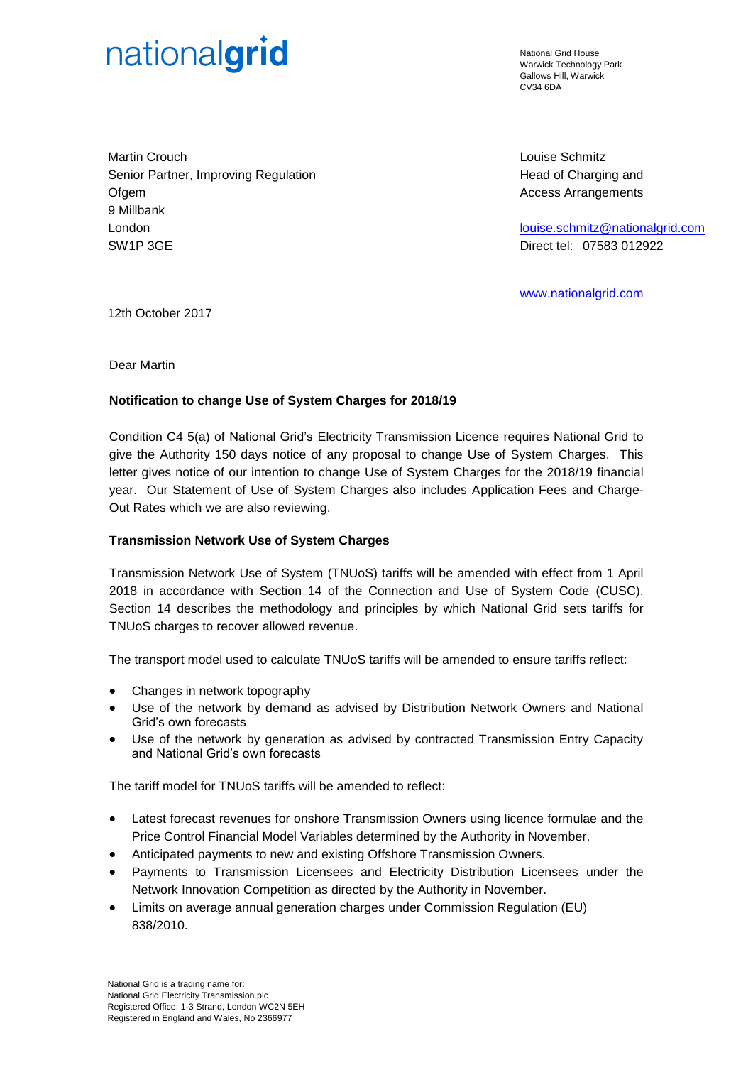# nationalgrid

National Grid House Warwick Technology Park Gallows Hill, Warwick  $C<sub>1</sub>1/34$  6DA

Martin Crouch Senior Partner, Improving Regulation **Ofgem** 9 Millbank London SW1P 3GE

Louise Schmitz Head of Charging and Access Arrangements

[louise.schmitz@nationalgrid.com](file://///Uk.corporg.net/ngtdfs$/Group/ETO_Charge%20Setting/FY_2016_17/150%20Day%20Notice/louise.schmitz@nationalgrid.com) Direct tel: 07583 012922

[www.nationalgrid.com](file://///Uk.corporg.net/ngtdfs$/Group/ETO_Charge%20Setting/FY_2016_17/150%20Day%20Notice/www.nationalgrid.com)

12th October 2017

Dear Martin

## **Notification to change Use of System Charges for 2018/19**

Condition C4 5(a) of National Grid's Electricity Transmission Licence requires National Grid to give the Authority 150 days notice of any proposal to change Use of System Charges. This letter gives notice of our intention to change Use of System Charges for the 2018/19 financial year. Our Statement of Use of System Charges also includes Application Fees and Charge-Out Rates which we are also reviewing.

#### **Transmission Network Use of System Charges**

Transmission Network Use of System (TNUoS) tariffs will be amended with effect from 1 April 2018 in accordance with Section 14 of the Connection and Use of System Code (CUSC). Section 14 describes the methodology and principles by which National Grid sets tariffs for TNUoS charges to recover allowed revenue.

The transport model used to calculate TNUoS tariffs will be amended to ensure tariffs reflect:

- Changes in network topography
- Use of the network by demand as advised by Distribution Network Owners and National Grid's own forecasts
- Use of the network by generation as advised by contracted Transmission Entry Capacity and National Grid's own forecasts

The tariff model for TNUoS tariffs will be amended to reflect:

- Latest forecast revenues for onshore Transmission Owners using licence formulae and the Price Control Financial Model Variables determined by the Authority in November.
- Anticipated payments to new and existing Offshore Transmission Owners.
- Payments to Transmission Licensees and Electricity Distribution Licensees under the Network Innovation Competition as directed by the Authority in November.
- Limits on average annual generation charges under Commission Regulation (EU) 838/2010.